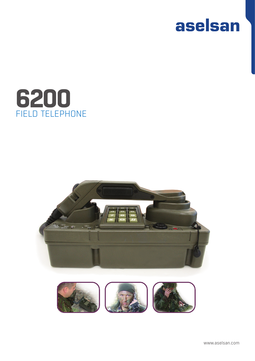